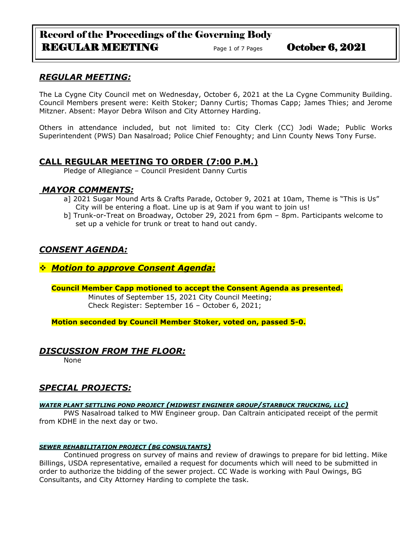# Record of the Proceedings of the Governing Body REGULAR MEETING Page 1 of 7 Pages October 6, 2021

## *REGULAR MEETING:*

The La Cygne City Council met on Wednesday, October 6, 2021 at the La Cygne Community Building. Council Members present were: Keith Stoker; Danny Curtis; Thomas Capp; James Thies; and Jerome Mitzner. Absent: Mayor Debra Wilson and City Attorney Harding.

Others in attendance included, but not limited to: City Clerk (CC) Jodi Wade; Public Works Superintendent (PWS) Dan Nasalroad; Police Chief Fenoughty; and Linn County News Tony Furse.

## **CALL REGULAR MEETING TO ORDER (7:00 P.M.)**

Pledge of Allegiance – Council President Danny Curtis

## *MAYOR COMMENTS:*

- a] 2021 Sugar Mound Arts & Crafts Parade, October 9, 2021 at 10am, Theme is "This is Us" City will be entering a float. Line up is at 9am if you want to join us!
- b] Trunk-or-Treat on Broadway, October 29, 2021 from 6pm 8pm. Participants welcome to set up a vehicle for trunk or treat to hand out candy.

## *CONSENT AGENDA:*

### ❖ *Motion to approve Consent Agenda:*

**Council Member Capp motioned to accept the Consent Agenda as presented.**

Minutes of September 15, 2021 City Council Meeting; Check Register: September 16 – October 6, 2021;

**Motion seconded by Council Member Stoker, voted on, passed 5-0.** 

## *DISCUSSION FROM THE FLOOR:*

None

## *SPECIAL PROJECTS:*

#### *WATER PLANT SETTLING POND PROJECT (MIDWEST ENGINEER GROUP/STARBUCK TRUCKING, LLC)*

PWS Nasalroad talked to MW Engineer group. Dan Caltrain anticipated receipt of the permit from KDHE in the next day or two.

#### *SEWER REHABILITATION PROJECT (BG CONSULTANTS)*

Continued progress on survey of mains and review of drawings to prepare for bid letting. Mike Billings, USDA representative, emailed a request for documents which will need to be submitted in order to authorize the bidding of the sewer project. CC Wade is working with Paul Owings, BG Consultants, and City Attorney Harding to complete the task.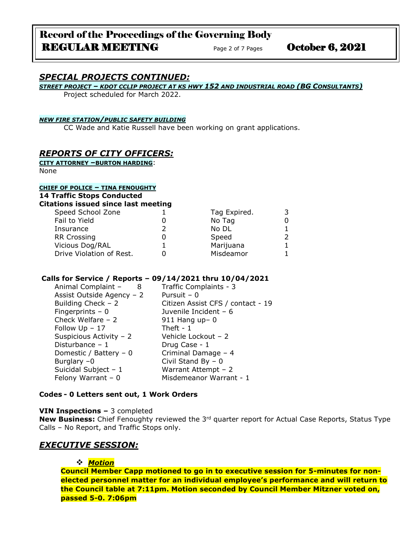# Record of the Proceedings of the Governing Body REGULAR MEETING Page 2 of 7 Pages October 6, 2021

## *SPECIAL PROJECTS CONTINUED:*

*STREET PROJECT – KDOT CCLIP PROJECT AT KS HWY 152 AND INDUSTRIAL ROAD (BG CONSULTANTS)*

Project scheduled for March 2022.

#### *NEW FIRE STATION/PUBLIC SAFETY BUILDING*

CC Wade and Katie Russell have been working on grant applications.

### *REPORTS OF CITY OFFICERS:*

**CITY ATTORNEY –BURTON HARDING**: None

#### **CHIEF OF POLICE – TINA FENOUGHTY**

| <b>14 Traffic Stops Conducted</b><br><b>Citations issued since last meeting</b> |  |              |   |  |
|---------------------------------------------------------------------------------|--|--------------|---|--|
| Speed School Zone                                                               |  | Tag Expired. | 3 |  |
| Fail to Yield                                                                   |  | No Tag       | 0 |  |
| Insurance                                                                       |  | No DL        |   |  |
| <b>RR Crossing</b>                                                              |  | Speed        | 2 |  |
| Vicious Dog/RAL                                                                 |  | Marijuana    | 1 |  |
| Drive Violation of Rest.                                                        |  | Misdeamor    | 1 |  |

#### **Calls for Service / Reports – 09/14/2021 thru 10/04/2021**

| Animal Complaint -<br>- 8 | Traffic Complaints - 3            |
|---------------------------|-----------------------------------|
| Assist Outside Agency - 2 | Pursuit - 0                       |
| Building Check $-2$       | Citizen Assist CFS / contact - 19 |
| Fingerprints $-0$         | Juvenile Incident - 6             |
| Check Welfare $-2$        | $911$ Hang up- 0                  |
| Follow $Up - 17$          | Theft - $1$                       |
| Suspicious Activity - 2   | Vehicle Lockout - 2               |
| Disturbance $-1$          | Drug Case - 1                     |
| Domestic / Battery $-0$   | Criminal Damage - 4               |
| Burglary $-0$             | Civil Stand By $-0$               |
| Suicidal Subject $-1$     | Warrant Attempt $-2$              |
| Felony Warrant $-0$       | Misdemeanor Warrant - 1           |

#### **Codes - 0 Letters sent out, 1 Work Orders**

#### **VIN Inspections –** 3 completed

New Business: Chief Fenoughty reviewed the 3<sup>rd</sup> quarter report for Actual Case Reports, Status Type Calls – No Report, and Traffic Stops only.

#### *EXECUTIVE SESSION:*

#### ❖ *Motion*

**Council Member Capp motioned to go in to executive session for 5-minutes for nonelected personnel matter for an individual employee's performance and will return to the Council table at 7:11pm. Motion seconded by Council Member Mitzner voted on, passed 5-0. 7:06pm**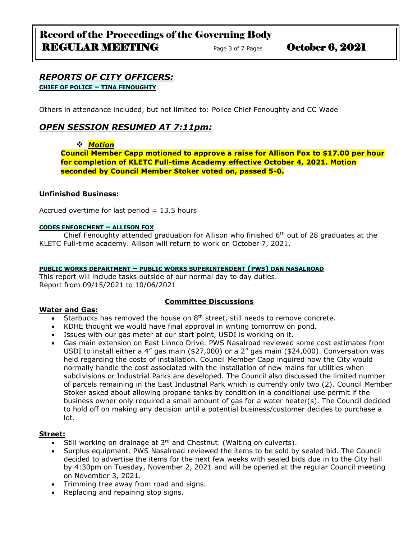#### *REPORTS OF CITY OFFICERS:* **CHIEF OF POLICE – TINA FENOUGHTY**

Others in attendance included, but not limited to: Police Chief Fenoughty and CC Wade

## *OPEN SESSION RESUMED AT 7:11pm:*

## ❖ *Motion*

**Council Member Capp motioned to approve a raise for Allison Fox to \$17.00 per hour for completion of KLETC Full-time Academy effective October 4, 2021. Motion seconded by Council Member Stoker voted on, passed 5-0.**

#### **Unfinished Business:**

Accrued overtime for last period  $= 13.5$  hours

#### **CODES ENFORCMENT – ALLISON FOX**

Chief Fenoughty attended graduation for Allison who finished  $6<sup>th</sup>$  out of 28 graduates at the KLETC Full-time academy. Allison will return to work on October 7, 2021.

#### **PUBLIC WORKS DEPARTMENT – PUBLIC WORKS SUPERINTENDENT (PWS) DAN NASALROAD**

This report will include tasks outside of our normal day to day duties. Report from 09/15/2021 to 10/06/2021

#### **Water and Gas:**

#### **Committee Discussions**

- Starbucks has removed the house on  $8<sup>th</sup>$  street, still needs to remove concrete.
- KDHE thought we would have final approval in writing tomorrow on pond.
- Issues with our gas meter at our start point, USDI is working on it.
- Gas main extension on East Linnco Drive. PWS Nasalroad reviewed some cost estimates from USDI to install either a 4" gas main (\$27,000) or a 2" gas main (\$24,000). Conversation was held regarding the costs of installation. Council Member Capp inquired how the City would normally handle the cost associated with the installation of new mains for utilities when subdivisions or Industrial Parks are developed. The Council also discussed the limited number of parcels remaining in the East Industrial Park which is currently only two (2). Council Member Stoker asked about allowing propane tanks by condition in a conditional use permit if the business owner only required a small amount of gas for a water heater(s). The Council decided to hold off on making any decision until a potential business/customer decides to purchase a lot.

#### **Street:**

- Still working on drainage at  $3<sup>rd</sup>$  and Chestnut. (Waiting on culverts).
- Surplus equipment. PWS Nasalroad reviewed the items to be sold by sealed bid. The Council decided to advertise the items for the next few weeks with sealed bids due in to the City hall by 4:30pm on Tuesday, November 2, 2021 and will be opened at the regular Council meeting on November 3, 2021.
- Trimming tree away from road and signs.
- Replacing and repairing stop signs.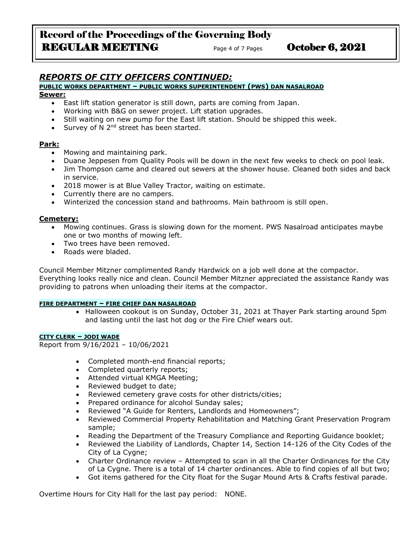# Record of the Proceedings of the Governing Body REGULAR MEETING Page 4 of 7 Pages October 6, 2021

## *REPORTS OF CITY OFFICERS CONTINUED:*

#### **PUBLIC WORKS DEPARTMENT – PUBLIC WORKS SUPERINTENDENT (PWS) DAN NASALROAD**

#### **Sewer:**

- East lift station generator is still down, parts are coming from Japan.
- Working with B&G on sewer project. Lift station upgrades.
- Still waiting on new pump for the East lift station. Should be shipped this week.
- Survey of N  $2^{nd}$  street has been started.

### **Park:**

- Mowing and maintaining park.
- Duane Jeppesen from Quality Pools will be down in the next few weeks to check on pool leak.
- Jim Thompson came and cleared out sewers at the shower house. Cleaned both sides and back in service.
- 2018 mower is at Blue Valley Tractor, waiting on estimate.
- Currently there are no campers.
- Winterized the concession stand and bathrooms. Main bathroom is still open.

#### **Cemetery:**

- Mowing continues. Grass is slowing down for the moment. PWS Nasalroad anticipates maybe one or two months of mowing left.
- Two trees have been removed.
- Roads were bladed.

Council Member Mitzner complimented Randy Hardwick on a job well done at the compactor. Everything looks really nice and clean. Council Member Mitzner appreciated the assistance Randy was providing to patrons when unloading their items at the compactor.

#### **FIRE DEPARTMENT – FIRE CHIEF DAN NASALROAD**

• Halloween cookout is on Sunday, October 31, 2021 at Thayer Park starting around 5pm and lasting until the last hot dog or the Fire Chief wears out.

#### **CITY CLERK – JODI WADE**

Report from 9/16/2021 – 10/06/2021

- Completed month-end financial reports;
- Completed quarterly reports;
- Attended virtual KMGA Meeting;
- Reviewed budget to date;
- Reviewed cemetery grave costs for other districts/cities;
- Prepared ordinance for alcohol Sunday sales;
- Reviewed "A Guide for Renters, Landlords and Homeowners";
- Reviewed Commercial Property Rehabilitation and Matching Grant Preservation Program sample;
- Reading the Department of the Treasury Compliance and Reporting Guidance booklet;
- Reviewed the Liability of Landlords, Chapter 14, Section 14-126 of the City Codes of the City of La Cygne;
- Charter Ordinance review Attempted to scan in all the Charter Ordinances for the City of La Cygne. There is a total of 14 charter ordinances. Able to find copies of all but two;
- Got items gathered for the City float for the Sugar Mound Arts & Crafts festival parade.

Overtime Hours for City Hall for the last pay period: NONE.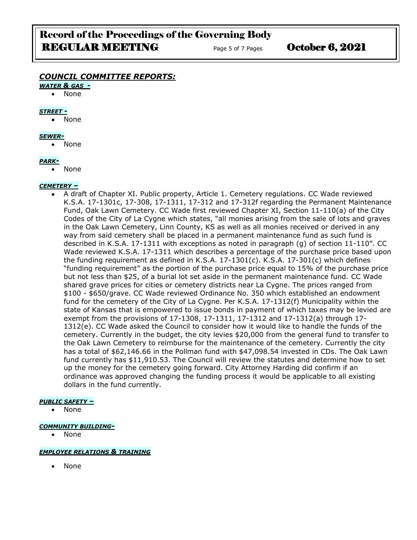# Record of the Proceedings of the Governing Body REGULAR MEETING Page 5 of 7 Pages October 6, 2021

## *COUNCIL COMMITTEE REPORTS:*

#### *WATER & GAS -*

• None

#### *STREET -*

• None

#### *SEWER-*

• None

#### *PARK-*

• None

#### *CEMETERY –*

• A draft of Chapter XI. Public property, Article 1. Cemetery regulations. CC Wade reviewed K.S.A. 17-1301c, 17-308, 17-1311, 17-312 and 17-312f regarding the Permanent Maintenance Fund, Oak Lawn Cemetery. CC Wade first reviewed Chapter XI, Section 11-110(a) of the City Codes of the City of La Cygne which states, "all monies arising from the sale of lots and graves in the Oak Lawn Cemetery, Linn County, KS as well as all monies received or derived in any way from said cemetery shall be placed in a permanent maintenance fund as such fund is described in K.S.A. 17-1311 with exceptions as noted in paragraph (g) of section 11-110". CC Wade reviewed K.S.A. 17-1311 which describes a percentage of the purchase price based upon the funding requirement as defined in K.S.A. 17-1301(c). K.S.A. 17-301(c) which defines "funding requirement" as the portion of the purchase price equal to 15% of the purchase price but not less than \$25, of a burial lot set aside in the permanent maintenance fund. CC Wade shared grave prices for cities or cemetery districts near La Cygne. The prices ranged from \$100 - \$650/grave. CC Wade reviewed Ordinance No. 350 which established an endowment fund for the cemetery of the City of La Cygne. Per K.S.A. 17-1312(f) Municipality within the state of Kansas that is empowered to issue bonds in payment of which taxes may be levied are exempt from the provisions of 17-1308, 17-1311, 17-1312 and 17-1312(a) through 17- 1312(e). CC Wade asked the Council to consider how it would like to handle the funds of the cemetery. Currently in the budget, the city levies \$20,000 from the general fund to transfer to the Oak Lawn Cemetery to reimburse for the maintenance of the cemetery. Currently the city has a total of \$62,146.66 in the Pollman fund with \$47,098.54 invested in CDs. The Oak Lawn fund currently has \$11,910.53. The Council will review the statutes and determine how to set up the money for the cemetery going forward. City Attorney Harding did confirm if an ordinance was approved changing the funding process it would be applicable to all existing dollars in the fund currently.

#### *PUBLIC SAFETY –*

• None

#### *COMMUNITY BUILDING-*

• None

#### *EMPLOYEE RELATIONS & TRAINING*

• None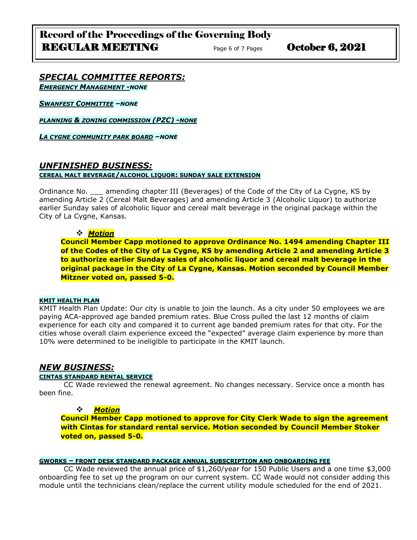# Record of the Proceedings of the Governing Body REGULAR MEETING Page 6 of 7 Pages October 6, 2021

### *SPECIAL COMMITTEE REPORTS: EMERGENCY MANAGEMENT -NONE*

*SWANFEST COMMITTEE –NONE*

*PLANNING & ZONING COMMISSION (PZC) -NONE*

*LA CYGNE COMMUNITY PARK BOARD –NONE*

## *UNFINISHED BUSINESS:*

#### **CEREAL MALT BEVERAGE/ALCOHOL LIQUOR: SUNDAY SALE EXTENSION**

Ordinance No. \_\_\_ amending chapter III (Beverages) of the Code of the City of La Cygne, KS by amending Article 2 (Cereal Malt Beverages) and amending Article 3 (Alcoholic Liquor) to authorize earlier Sunday sales of alcoholic liquor and cereal malt beverage in the original package within the City of La Cygne, Kansas.

#### ❖ *Motion*

**Council Member Capp motioned to approve Ordinance No. 1494 amending Chapter III of the Codes of the City of La Cygne, KS by amending Article 2 and amending Article 3 to authorize earlier Sunday sales of alcoholic liquor and cereal malt beverage in the original package in the City of La Cygne, Kansas. Motion seconded by Council Member Mitzner voted on, passed 5-0.**

#### **KMIT HEALTH PLAN**

KMIT Health Plan Update: Our city is unable to join the launch. As a city under 50 employees we are paying ACA-approved age banded premium rates. Blue Cross pulled the last 12 months of claim experience for each city and compared it to current age banded premium rates for that city. For the cities whose overall claim experience exceed the "expected" average claim experience by more than 10% were determined to be ineligible to participate in the KMIT launch.

## *NEW BUSINESS:*

#### **CINTAS STANDARD RENTAL SERVICE**

CC Wade reviewed the renewal agreement. No changes necessary. Service once a month has been fine.

## ❖ *Motion*

**Council Member Capp motioned to approve for City Clerk Wade to sign the agreement with Cintas for standard rental service. Motion seconded by Council Member Stoker voted on, passed 5-0.**

#### **GWORKS – FRONT DESK STANDARD PACKAGE ANNUAL SUBSCRIPTION AND ONBOARDING FEE**

CC Wade reviewed the annual price of \$1,260/year for 150 Public Users and a one time \$3,000 onboarding fee to set up the program on our current system. CC Wade would not consider adding this module until the technicians clean/replace the current utility module scheduled for the end of 2021.